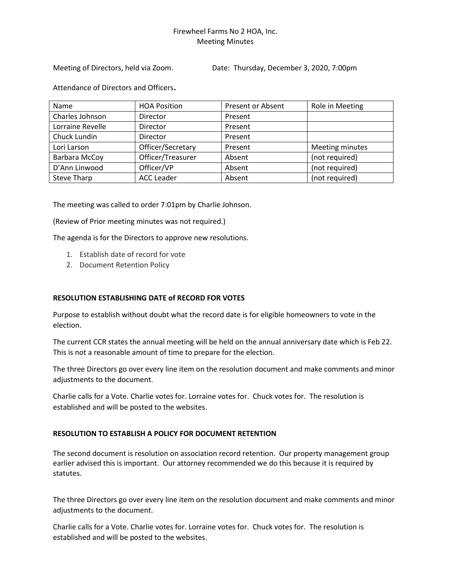## Firewheel Farms No 2 HOA, Inc. Meeting Minutes

Meeting of Directors, held via Zoom. Date: Thursday, December 3, 2020, 7:00pm

Attendance of Directors and Officers.

| Name               | <b>HOA Position</b> | <b>Present or Absent</b> | Role in Meeting |
|--------------------|---------------------|--------------------------|-----------------|
| Charles Johnson    | Director            | Present                  |                 |
| Lorraine Revelle   | <b>Director</b>     | Present                  |                 |
| Chuck Lundin       | <b>Director</b>     | Present                  |                 |
| Lori Larson        | Officer/Secretary   | Present                  | Meeting minutes |
| Barbara McCoy      | Officer/Treasurer   | Absent                   | (not required)  |
| D'Ann Linwood      | Officer/VP          | Absent                   | (not required)  |
| <b>Steve Tharp</b> | <b>ACC Leader</b>   | Absent                   | (not required)  |

The meeting was called to order 7:01pm by Charlie Johnson.

(Review of Prior meeting minutes was not required.)

The agenda is for the Directors to approve new resolutions.

- 1. Establish date of record for vote
- 2. Document Retention Policy

## **RESOLUTION ESTABLISHING DATE of RECORD FOR VOTES**

Purpose to establish without doubt what the record date is for eligible homeowners to vote in the election.

The current CCR states the annual meeting will be held on the annual anniversary date which is Feb 22. This is not a reasonable amount of time to prepare for the election.

The three Directors go over every line item on the resolution document and make comments and minor adjustments to the document.

Charlie calls for a Vote. Charlie votes for. Lorraine votes for. Chuck votes for. The resolution is established and will be posted to the websites.

## **RESOLUTION TO ESTABLISH A POLICY FOR DOCUMENT RETENTION**

The second document is resolution on association record retention. Our property management group earlier advised this is important. Our attorney recommended we do this because it is required by statutes.

The three Directors go over every line item on the resolution document and make comments and minor adjustments to the document.

Charlie calls for a Vote. Charlie votes for. Lorraine votes for. Chuck votes for. The resolution is established and will be posted to the websites.